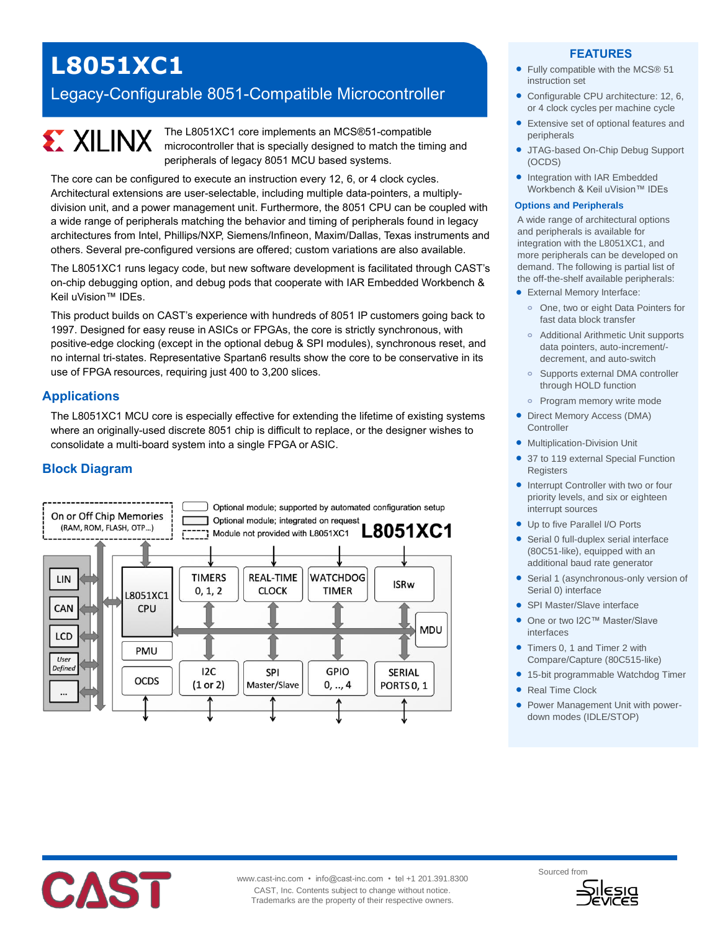## **L8051XC1**

### Legacy-Configurable 8051-Compatible Microcontroller

# **EXILINX**

The L8051XC1 core implements an MCS®51-compatible microcontroller that is specially designed to match the timing and peripherals of legacy 8051 MCU based systems.

The core can be configured to execute an instruction every 12, 6, or 4 clock cycles. Architectural extensions are user-selectable, including multiple data-pointers, a multiplydivision unit, and a power management unit. Furthermore, the 8051 CPU can be coupled with a wide range of peripherals matching the behavior and timing of peripherals found in legacy architectures from Intel, Phillips/NXP, Siemens/Infineon, Maxim/Dallas, Texas instruments and others. Several pre-configured versions are offered; custom variations are also available.

The L8051XC1 runs legacy code, but new software development is facilitated through CAST's on-chip debugging option, and debug pods that cooperate with IAR Embedded Workbench & Keil uVision™ IDEs.

This product builds on CAST's experience with hundreds of 8051 IP customers going back to 1997. Designed for easy reuse in ASICs or FPGAs, the core is strictly synchronous, with positive-edge clocking (except in the optional debug & SPI modules), synchronous reset, and no internal tri-states. Representative Spartan6 results show the core to be conservative in its use of FPGA resources, requiring just 400 to 3,200 slices.

#### **Applications**

The L8051XC1 MCU core is especially effective for extending the lifetime of existing systems where an originally-used discrete 8051 chip is difficult to replace, or the designer wishes to consolidate a multi-board system into a single FPGA or ASIC.

#### **Block Diagram**



#### **FEATURES**

- Fully compatible with the MCS® 51 instruction set
- Configurable CPU architecture: 12, 6, or 4 clock cycles per machine cycle
- Extensive set of optional features and peripherals
- JTAG-based On-Chip Debug Support (OCDS)
- Integration with IAR Embedded Workbench & Keil uVision™ IDEs

#### **Options and Peripherals**

A wide range of architectural options and peripherals is available for integration with the L8051XC1, and more peripherals can be developed on demand. The following is partial list of the off-the-shelf available peripherals:

- External Memory Interface:
- **o** One, two or eight Data Pointers for fast data block transfer
- **o** Additional Arithmetic Unit supports data pointers, auto-increment/ decrement, and auto-switch
- **o** Supports external DMA controller through HOLD function
- **o** Program memory write mode
- Direct Memory Access (DMA) **Controller**
- **•** Multiplication-Division Unit
- 37 to 119 external Special Function **Registers**
- Interrupt Controller with two or four priority levels, and six or eighteen interrupt sources
- Up to five Parallel I/O Ports
- Serial 0 full-duplex serial interface (80C51-like), equipped with an additional baud rate generator
- Serial 1 (asynchronous-only version of Serial 0) interface
- SPI Master/Slave interface
- One or two I2C™ Master/Slave interfaces
- Timers 0, 1 and Timer 2 with Compare/Capture (80C515-like)
- 15-bit programmable Watchdog Timer
- Real Time Clock
- Power Management Unit with powerdown modes (IDLE/STOP)